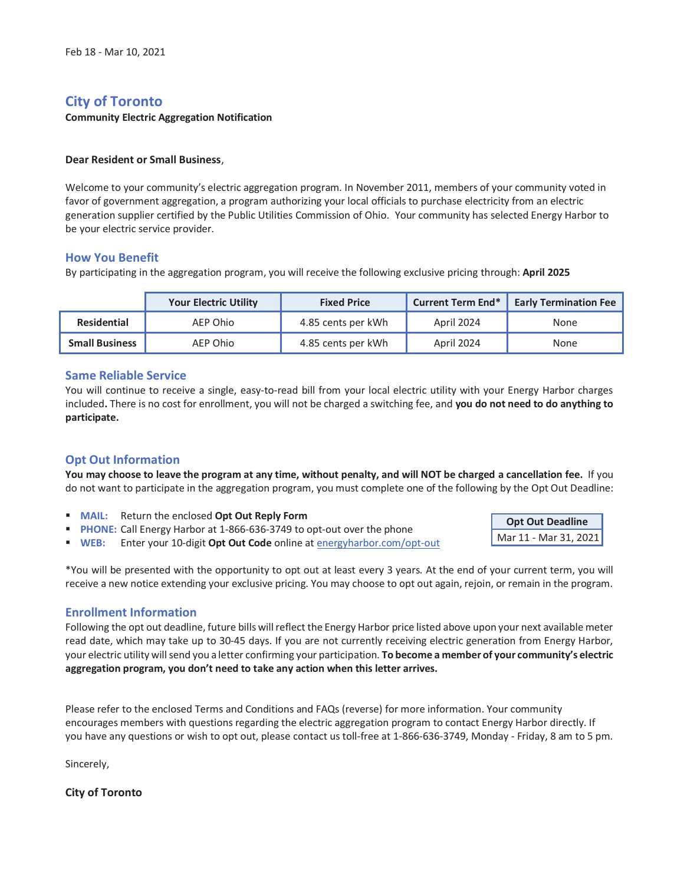# **City of Toronto**

#### **Community Electric Aggregation Notification**

#### **Dear Resident or Small Business**,

Welcome to your community's electric aggregation program. In November 2011, members of your community voted in favor of government aggregation, a program authorizing your local officials to purchase electricity from an electric generation supplier certified by the Public Utilities Commission of Ohio. Your community has selected Energy Harbor to be your electric service provider.

## **How You Benefit**

By participating in the aggregation program, you will receive the following exclusive pricing through: **April 2025**

|                       | <b>Your Electric Utility</b> | <b>Fixed Price</b> | <b>Current Term End*</b> | <b>Early Termination Fee</b> |
|-----------------------|------------------------------|--------------------|--------------------------|------------------------------|
| Residential           | AEP Ohio                     | 4.85 cents per kWh | April 2024               | None                         |
| <b>Small Business</b> | AEP Ohio                     | 4.85 cents per kWh | April 2024               | None                         |

## **Same Reliable Service**

You will continue to receive a single, easy-to-read bill from your local electric utility with your Energy Harbor charges included**.** There is no cost for enrollment, you will not be charged a switching fee, and **you do not need to do anything to participate.** 

# **Opt Out Information**

**You may choose to leave the program at any time, without penalty, and will NOT be charged a cancellation fee.** If you do not want to participate in the aggregation program, you must complete one of the following by the Opt Out Deadline:

- **MAIL:** Return the enclosed **Opt Out Reply Form**
- **PHONE:** Call Energy Harbor at 1-866-636-3749 to opt-out over the phone
- **WEB:** Enter your 10-digit **Opt Out Code** online at energyharbor.com/opt-out

**Opt Out Deadline**  Mar 11 - Mar 31, 2021

\*You will be presented with the opportunity to opt out at least every 3 years. At the end of your current term, you will receive a new notice extending your exclusive pricing. You may choose to opt out again, rejoin, or remain in the program.

## **Enrollment Information**

Following the opt out deadline, future bills will reflect the Energy Harbor price listed above upon your next available meter read date, which may take up to 30-45 days. If you are not currently receiving electric generation from Energy Harbor, your electric utility will send you a letter confirming your participation. **To become a member of your community's electric aggregation program, you don't need to take any action when this letter arrives.** 

Please refer to the enclosed Terms and Conditions and FAQs (reverse) for more information. Your community encourages members with questions regarding the electric aggregation program to contact Energy Harbor directly. If you have any questions or wish to opt out, please contact us toll-free at 1-866-636-3749, Monday - Friday, 8 am to 5 pm.

Sincerely,

**City of Toronto**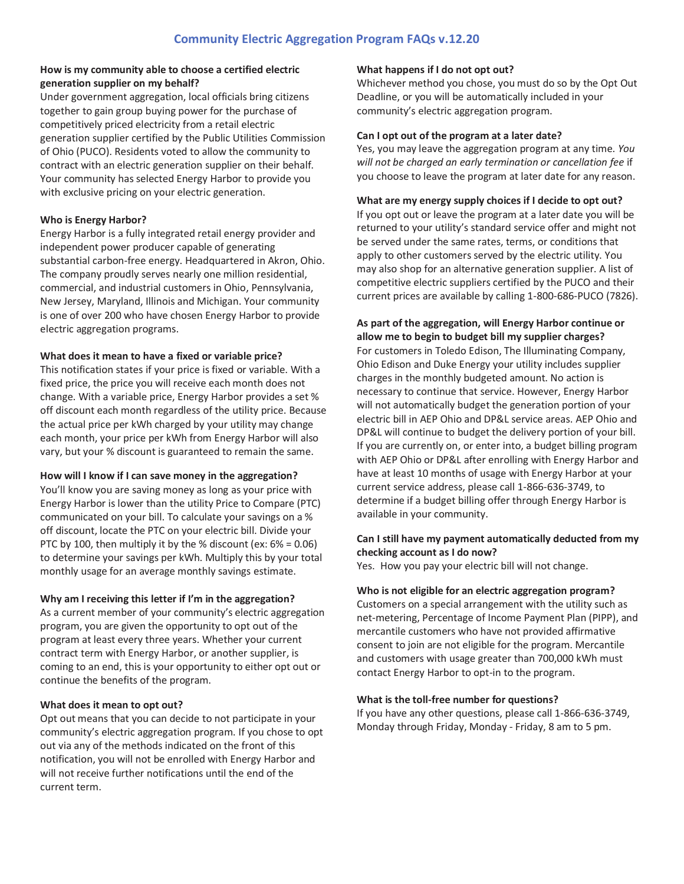## **How is my community able to choose a certified electric generation supplier on my behalf?**

Under government aggregation, local officials bring citizens together to gain group buying power for the purchase of competitively priced electricity from a retail electric generation supplier certified by the Public Utilities Commission of Ohio (PUCO). Residents voted to allow the community to contract with an electric generation supplier on their behalf. Your community has selected Energy Harbor to provide you with exclusive pricing on your electric generation.

## **Who is Energy Harbor?**

Energy Harbor is a fully integrated retail energy provider and independent power producer capable of generating substantial carbon-free energy. Headquartered in Akron, Ohio. The company proudly serves nearly one million residential, commercial, and industrial customers in Ohio, Pennsylvania, New Jersey, Maryland, Illinois and Michigan. Your community is one of over 200 who have chosen Energy Harbor to provide electric aggregation programs.

# **What does it mean to have a fixed or variable price?**

This notification states if your price is fixed or variable. With a fixed price, the price you will receive each month does not change. With a variable price, Energy Harbor provides a set % off discount each month regardless of the utility price. Because the actual price per kWh charged by your utility may change each month, your price per kWh from Energy Harbor will also vary, but your % discount is guaranteed to remain the same.

# **How will I know if I can save money in the aggregation?**

You'll know you are saving money as long as your price with Energy Harbor is lower than the utility Price to Compare (PTC) communicated on your bill. To calculate your savings on a % off discount, locate the PTC on your electric bill. Divide your PTC by 100, then multiply it by the % discount (ex: 6% = 0.06) to determine your savings per kWh. Multiply this by your total monthly usage for an average monthly savings estimate.

# **Why am I receiving this letter if I'm in the aggregation?**

As a current member of your community's electric aggregation program, you are given the opportunity to opt out of the program at least every three years. Whether your current contract term with Energy Harbor, or another supplier, is coming to an end, this is your opportunity to either opt out or continue the benefits of the program.

## **What does it mean to opt out?**

Opt out means that you can decide to not participate in your community's electric aggregation program. If you chose to opt out via any of the methods indicated on the front of this notification, you will not be enrolled with Energy Harbor and will not receive further notifications until the end of the current term.

## **What happens if I do not opt out?**

Whichever method you chose, you must do so by the Opt Out Deadline, or you will be automatically included in your community's electric aggregation program.

## **Can I opt out of the program at a later date?**

Yes, you may leave the aggregation program at any time. *You will not be charged an early termination or cancellation fee* if you choose to leave the program at later date for any reason.

## **What are my energy supply choices if I decide to opt out?**

If you opt out or leave the program at a later date you will be returned to your utility's standard service offer and might not be served under the same rates, terms, or conditions that apply to other customers served by the electric utility. You may also shop for an alternative generation supplier. A list of competitive electric suppliers certified by the PUCO and their current prices are available by calling 1-800-686-PUCO (7826).

# **As part of the aggregation, will Energy Harbor continue or allow me to begin to budget bill my supplier charges?**

For customers in Toledo Edison, The Illuminating Company, Ohio Edison and Duke Energy your utility includes supplier charges in the monthly budgeted amount. No action is necessary to continue that service. However, Energy Harbor will not automatically budget the generation portion of your electric bill in AEP Ohio and DP&L service areas. AEP Ohio and DP&L will continue to budget the delivery portion of your bill. If you are currently on, or enter into, a budget billing program with AEP Ohio or DP&L after enrolling with Energy Harbor and have at least 10 months of usage with Energy Harbor at your current service address, please call 1-866-636-3749, to determine if a budget billing offer through Energy Harbor is available in your community.

## **Can I still have my payment automatically deducted from my checking account as I do now?**

Yes. How you pay your electric bill will not change.

## **Who is not eligible for an electric aggregation program?**

Customers on a special arrangement with the utility such as net-metering, Percentage of Income Payment Plan (PIPP), and mercantile customers who have not provided affirmative consent to join are not eligible for the program. Mercantile and customers with usage greater than 700,000 kWh must contact Energy Harbor to opt-in to the program.

## **What is the toll-free number for questions?**

If you have any other questions, please call 1-866-636-3749, Monday through Friday, Monday - Friday, 8 am to 5 pm.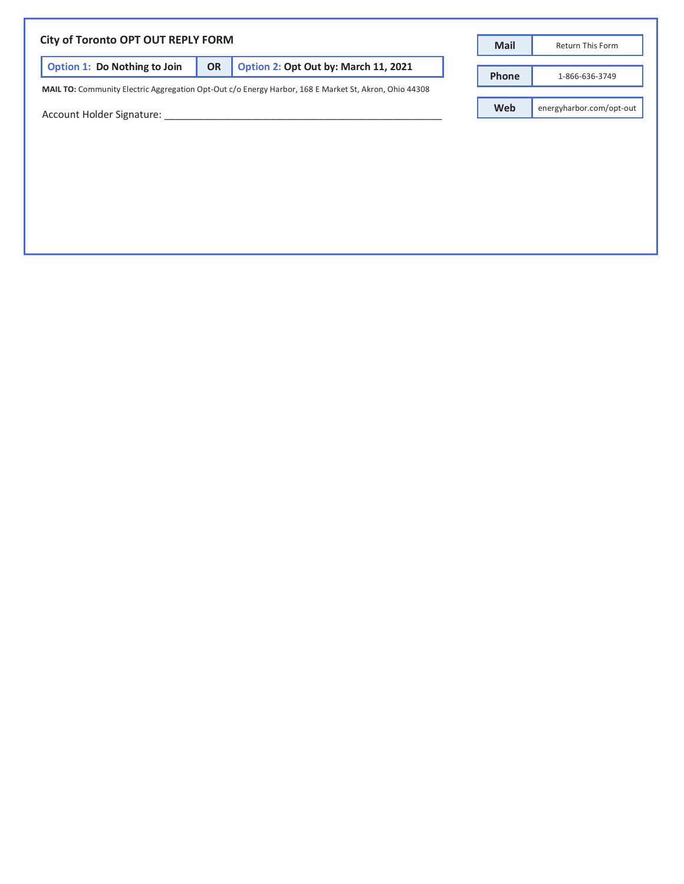|                                     |           |                                                                                                       | <b>Mail</b>  | Return This Form         |
|-------------------------------------|-----------|-------------------------------------------------------------------------------------------------------|--------------|--------------------------|
| <b>Option 1: Do Nothing to Join</b> | <b>OR</b> | Option 2: Opt Out by: March 11, 2021                                                                  | <b>Phone</b> | 1-866-636-3749           |
|                                     |           | MAIL TO: Community Electric Aggregation Opt-Out c/o Energy Harbor, 168 E Market St, Akron, Ohio 44308 | <b>Web</b>   | energyharbor.com/opt-out |
| Account Holder Signature:           |           |                                                                                                       |              |                          |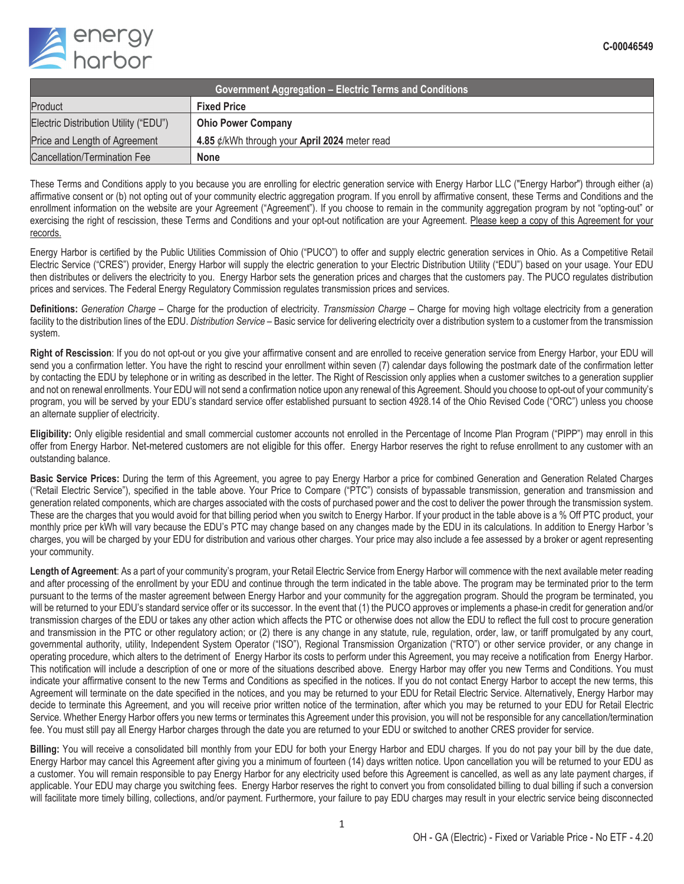

| <b>Government Aggregation – Electric Terms and Conditions</b> |                                                         |  |  |  |
|---------------------------------------------------------------|---------------------------------------------------------|--|--|--|
| Product                                                       | <b>Fixed Price</b>                                      |  |  |  |
| Electric Distribution Utility ("EDU")                         | <b>Ohio Power Company</b>                               |  |  |  |
| Price and Length of Agreement                                 | 4.85 $\rlap{/}$ /kWh through your April 2024 meter read |  |  |  |
| Cancellation/Termination Fee                                  | <b>None</b>                                             |  |  |  |

These Terms and Conditions apply to you because you are enrolling for electric generation service with Energy Harbor LLC ("Energy Harbor") through either (a) affirmative consent or (b) not opting out of your community electric aggregation program. If you enroll by affirmative consent, these Terms and Conditions and the enrollment information on the website are your Agreement ("Agreement"). If you choose to remain in the community aggregation program by not "opting-out" or exercising the right of rescission, these Terms and Conditions and your opt-out notification are your Agreement. Please keep a copy of this Agreement for your records.

Energy Harbor is certified by the Public Utilities Commission of Ohio ("PUCO") to offer and supply electric generation services in Ohio. As a Competitive Retail Electric Service ("CRES") provider, Energy Harbor will supply the electric generation to your Electric Distribution Utility ("EDU") based on your usage. Your EDU then distributes or delivers the electricity to you. Energy Harbor sets the generation prices and charges that the customers pay. The PUCO regulates distribution prices and services. The Federal Energy Regulatory Commission regulates transmission prices and services.

**Definitions:** *Generation Charge* – Charge for the production of electricity. *Transmission Charge* – Charge for moving high voltage electricity from a generation facility to the distribution lines of the EDU. *Distribution Service* – Basic service for delivering electricity over a distribution system to a customer from the transmission system.

**Right of Rescission**: If you do not opt-out or you give your affirmative consent and are enrolled to receive generation service from Energy Harbor, your EDU will send you a confirmation letter. You have the right to rescind your enrollment within seven (7) calendar days following the postmark date of the confirmation letter by contacting the EDU by telephone or in writing as described in the letter. The Right of Rescission only applies when a customer switches to a generation supplier and not on renewal enrollments. Your EDU will not send a confirmation notice upon any renewal of this Agreement. Should you choose to opt-out of your community's program, you will be served by your EDU's standard service offer established pursuant to section 4928.14 of the Ohio Revised Code ("ORC") unless you choose an alternate supplier of electricity.

**Eligibility:** Only eligible residential and small commercial customer accounts not enrolled in the Percentage of Income Plan Program ("PIPP") may enroll in this offer from Energy Harbor. Net-metered customers are not eligible for this offer. Energy Harbor reserves the right to refuse enrollment to any customer with an outstanding balance.

**Basic Service Prices:** During the term of this Agreement, you agree to pay Energy Harbor a price for combined Generation and Generation Related Charges ("Retail Electric Service"), specified in the table above. Your Price to Compare ("PTC") consists of bypassable transmission, generation and transmission and generation related components, which are charges associated with the costs of purchased power and the cost to deliver the power through the transmission system. These are the charges that you would avoid for that billing period when you switch to Energy Harbor. If your product in the table above is a % Off PTC product, your monthly price per kWh will vary because the EDU's PTC may change based on any changes made by the EDU in its calculations. In addition to Energy Harbor 's charges, you will be charged by your EDU for distribution and various other charges. Your price may also include a fee assessed by a broker or agent representing your community.

Length of Agreement: As a part of your community's program, your Retail Electric Service from Energy Harbor will commence with the next available meter reading and after processing of the enrollment by your EDU and continue through the term indicated in the table above. The program may be terminated prior to the term pursuant to the terms of the master agreement between Energy Harbor and your community for the aggregation program. Should the program be terminated, you will be returned to your EDU's standard service offer or its successor. In the event that (1) the PUCO approves or implements a phase-in credit for generation and/or transmission charges of the EDU or takes any other action which affects the PTC or otherwise does not allow the EDU to reflect the full cost to procure generation and transmission in the PTC or other regulatory action; or (2) there is any change in any statute, rule, regulation, order, law, or tariff promulgated by any court, governmental authority, utility, Independent System Operator ("ISO"), Regional Transmission Organization ("RTO") or other service provider, or any change in operating procedure, which alters to the detriment of Energy Harbor its costs to perform under this Agreement, you may receive a notification from Energy Harbor. This notification will include a description of one or more of the situations described above. Energy Harbor may offer you new Terms and Conditions. You must indicate your affirmative consent to the new Terms and Conditions as specified in the notices. If you do not contact Energy Harbor to accept the new terms, this Agreement will terminate on the date specified in the notices, and you may be returned to your EDU for Retail Electric Service. Alternatively, Energy Harbor may decide to terminate this Agreement, and you will receive prior written notice of the termination, after which you may be returned to your EDU for Retail Electric Service. Whether Energy Harbor offers you new terms or terminates this Agreement under this provision, you will not be responsible for any cancellation/termination fee. You must still pay all Energy Harbor charges through the date you are returned to your EDU or switched to another CRES provider for service.

**Billing:** You will receive a consolidated bill monthly from your EDU for both your Energy Harbor and EDU charges. If you do not pay your bill by the due date, Energy Harbor may cancel this Agreement after giving you a minimum of fourteen (14) days written notice. Upon cancellation you will be returned to your EDU as a customer. You will remain responsible to pay Energy Harbor for any electricity used before this Agreement is cancelled, as well as any late payment charges, if applicable. Your EDU may charge you switching fees. Energy Harbor reserves the right to convert you from consolidated billing to dual billing if such a conversion will facilitate more timely billing, collections, and/or payment. Furthermore, your failure to pay EDU charges may result in your electric service being disconnected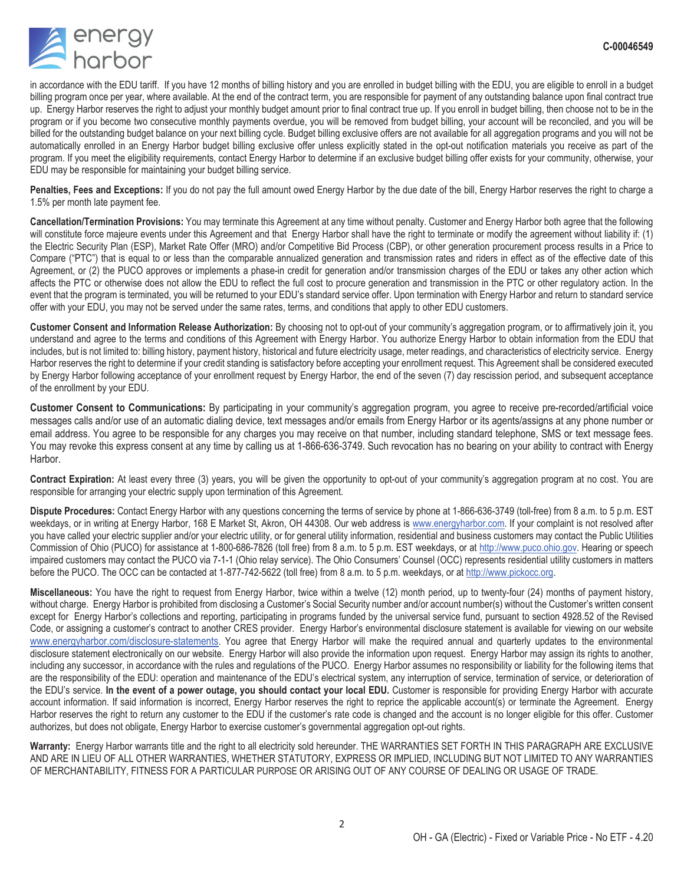

in accordance with the EDU tariff. If you have 12 months of billing history and you are enrolled in budget billing with the EDU, you are eligible to enroll in a budget billing program once per year, where available. At the end of the contract term, you are responsible for payment of any outstanding balance upon final contract true up. Energy Harbor reserves the right to adjust your monthly budget amount prior to final contract true up. If you enroll in budget billing, then choose not to be in the program or if you become two consecutive monthly payments overdue, you will be removed from budget billing, your account will be reconciled, and you will be billed for the outstanding budget balance on your next billing cycle. Budget billing exclusive offers are not available for all aggregation programs and you will not be automatically enrolled in an Energy Harbor budget billing exclusive offer unless explicitly stated in the opt-out notification materials you receive as part of the program. If you meet the eligibility requirements, contact Energy Harbor to determine if an exclusive budget billing offer exists for your community, otherwise, your EDU may be responsible for maintaining your budget billing service.

Penalties, Fees and Exceptions: If you do not pay the full amount owed Energy Harbor by the due date of the bill, Energy Harbor reserves the right to charge a 1.5% per month late payment fee.

**Cancellation/Termination Provisions:** You may terminate this Agreement at any time without penalty. Customer and Energy Harbor both agree that the following will constitute force majeure events under this Agreement and that Energy Harbor shall have the right to terminate or modify the agreement without liability if: (1) the Electric Security Plan (ESP), Market Rate Offer (MRO) and/or Competitive Bid Process (CBP), or other generation procurement process results in a Price to Compare ("PTC") that is equal to or less than the comparable annualized generation and transmission rates and riders in effect as of the effective date of this Agreement, or (2) the PUCO approves or implements a phase-in credit for generation and/or transmission charges of the EDU or takes any other action which affects the PTC or otherwise does not allow the EDU to reflect the full cost to procure generation and transmission in the PTC or other regulatory action. In the event that the program is terminated, you will be returned to your EDU's standard service offer. Upon termination with Energy Harbor and return to standard service offer with your EDU, you may not be served under the same rates, terms, and conditions that apply to other EDU customers.

**Customer Consent and Information Release Authorization:** By choosing not to opt-out of your community's aggregation program, or to affirmatively join it, you understand and agree to the terms and conditions of this Agreement with Energy Harbor. You authorize Energy Harbor to obtain information from the EDU that includes, but is not limited to: billing history, payment history, historical and future electricity usage, meter readings, and characteristics of electricity service. Energy Harbor reserves the right to determine if your credit standing is satisfactory before accepting your enrollment request. This Agreement shall be considered executed by Energy Harbor following acceptance of your enrollment request by Energy Harbor, the end of the seven (7) day rescission period, and subsequent acceptance of the enrollment by your EDU.

**Customer Consent to Communications:** By participating in your community's aggregation program, you agree to receive pre-recorded/artificial voice messages calls and/or use of an automatic dialing device, text messages and/or emails from Energy Harbor or its agents/assigns at any phone number or email address. You agree to be responsible for any charges you may receive on that number, including standard telephone, SMS or text message fees. You may revoke this express consent at any time by calling us at 1-866-636-3749. Such revocation has no bearing on your ability to contract with Energy Harbor.

**Contract Expiration:** At least every three (3) years, you will be given the opportunity to opt-out of your community's aggregation program at no cost. You are responsible for arranging your electric supply upon termination of this Agreement.

**Dispute Procedures:** Contact Energy Harbor with any questions concerning the terms of service by phone at 1-866-636-3749 (toll-free) from 8 a.m. to 5 p.m. EST weekdays, or in writing at Energy Harbor, 168 E Market St, Akron, OH 44308. Our web address is www.energyharbor.com. If your complaint is not resolved after you have called your electric supplier and/or your electric utility, or for general utility information, residential and business customers may contact the Public Utilities Commission of Ohio (PUCO) for assistance at 1-800-686-7826 (toll free) from 8 a.m. to 5 p.m. EST weekdays, or at http://www.puco.ohio.gov. Hearing or speech impaired customers may contact the PUCO via 7-1-1 (Ohio relay service). The Ohio Consumers' Counsel (OCC) represents residential utility customers in matters before the PUCO. The OCC can be contacted at 1-877-742-5622 (toll free) from 8 a.m. to 5 p.m. weekdays, or at http://www.pickocc.org.

**Miscellaneous:** You have the right to request from Energy Harbor, twice within a twelve (12) month period, up to twenty-four (24) months of payment history, without charge. Energy Harbor is prohibited from disclosing a Customer's Social Security number and/or account number(s) without the Customer's written consent except for Energy Harbor's collections and reporting, participating in programs funded by the universal service fund, pursuant to section 4928.52 of the Revised Code, or assigning a customer's contract to another CRES provider. Energy Harbor's environmental disclosure statement is available for viewing on our website www.energyharbor.com/disclosure-statements. You agree that Energy Harbor will make the required annual and quarterly updates to the environmental disclosure statement electronically on our website. Energy Harbor will also provide the information upon request. Energy Harbor may assign its rights to another, including any successor, in accordance with the rules and regulations of the PUCO. Energy Harbor assumes no responsibility or liability for the following items that are the responsibility of the EDU: operation and maintenance of the EDU's electrical system, any interruption of service, termination of service, or deterioration of the EDU's service. **In the event of a power outage, you should contact your local EDU.** Customer is responsible for providing Energy Harbor with accurate account information. If said information is incorrect, Energy Harbor reserves the right to reprice the applicable account(s) or terminate the Agreement. Energy Harbor reserves the right to return any customer to the EDU if the customer's rate code is changed and the account is no longer eligible for this offer. Customer authorizes, but does not obligate, Energy Harbor to exercise customer's governmental aggregation opt-out rights.

**Warranty:** Energy Harbor warrants title and the right to all electricity sold hereunder. THE WARRANTIES SET FORTH IN THIS PARAGRAPH ARE EXCLUSIVE AND ARE IN LIEU OF ALL OTHER WARRANTIES, WHETHER STATUTORY, EXPRESS OR IMPLIED, INCLUDING BUT NOT LIMITED TO ANY WARRANTIES OF MERCHANTABILITY, FITNESS FOR A PARTICULAR PURPOSE OR ARISING OUT OF ANY COURSE OF DEALING OR USAGE OF TRADE.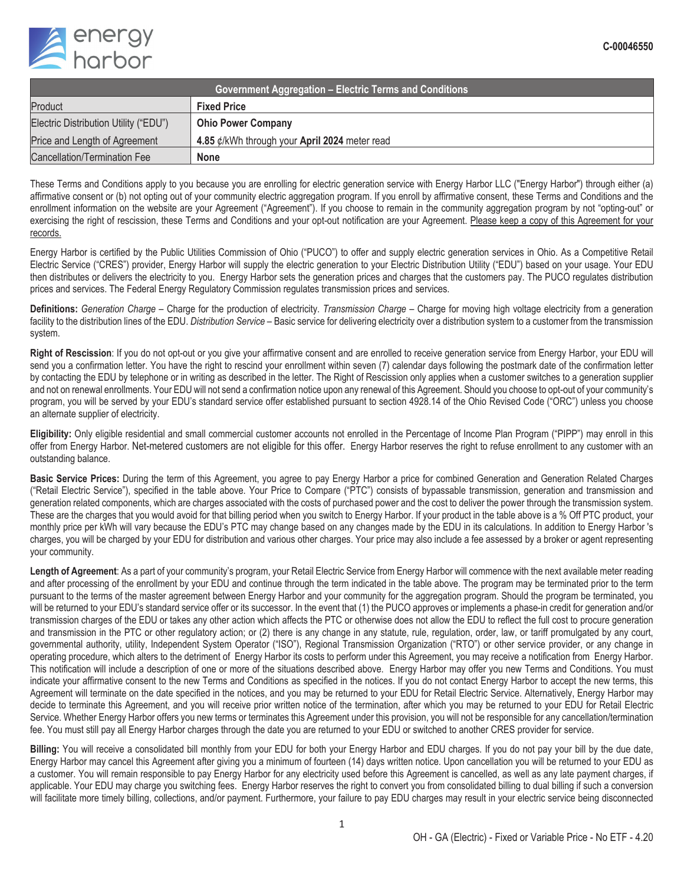

| <b>Government Aggregation – Electric Terms and Conditions</b> |                                                         |  |  |  |
|---------------------------------------------------------------|---------------------------------------------------------|--|--|--|
| Product                                                       | <b>Fixed Price</b>                                      |  |  |  |
| Electric Distribution Utility ("EDU")                         | <b>Ohio Power Company</b>                               |  |  |  |
| Price and Length of Agreement                                 | 4.85 $\rlap{/}$ /kWh through your April 2024 meter read |  |  |  |
| Cancellation/Termination Fee                                  | <b>None</b>                                             |  |  |  |

These Terms and Conditions apply to you because you are enrolling for electric generation service with Energy Harbor LLC ("Energy Harbor") through either (a) affirmative consent or (b) not opting out of your community electric aggregation program. If you enroll by affirmative consent, these Terms and Conditions and the enrollment information on the website are your Agreement ("Agreement"). If you choose to remain in the community aggregation program by not "opting-out" or exercising the right of rescission, these Terms and Conditions and your opt-out notification are your Agreement. Please keep a copy of this Agreement for your records.

Energy Harbor is certified by the Public Utilities Commission of Ohio ("PUCO") to offer and supply electric generation services in Ohio. As a Competitive Retail Electric Service ("CRES") provider, Energy Harbor will supply the electric generation to your Electric Distribution Utility ("EDU") based on your usage. Your EDU then distributes or delivers the electricity to you. Energy Harbor sets the generation prices and charges that the customers pay. The PUCO regulates distribution prices and services. The Federal Energy Regulatory Commission regulates transmission prices and services.

**Definitions:** *Generation Charge* – Charge for the production of electricity. *Transmission Charge* – Charge for moving high voltage electricity from a generation facility to the distribution lines of the EDU. *Distribution Service* – Basic service for delivering electricity over a distribution system to a customer from the transmission system.

**Right of Rescission**: If you do not opt-out or you give your affirmative consent and are enrolled to receive generation service from Energy Harbor, your EDU will send you a confirmation letter. You have the right to rescind your enrollment within seven (7) calendar days following the postmark date of the confirmation letter by contacting the EDU by telephone or in writing as described in the letter. The Right of Rescission only applies when a customer switches to a generation supplier and not on renewal enrollments. Your EDU will not send a confirmation notice upon any renewal of this Agreement. Should you choose to opt-out of your community's program, you will be served by your EDU's standard service offer established pursuant to section 4928.14 of the Ohio Revised Code ("ORC") unless you choose an alternate supplier of electricity.

**Eligibility:** Only eligible residential and small commercial customer accounts not enrolled in the Percentage of Income Plan Program ("PIPP") may enroll in this offer from Energy Harbor. Net-metered customers are not eligible for this offer. Energy Harbor reserves the right to refuse enrollment to any customer with an outstanding balance.

**Basic Service Prices:** During the term of this Agreement, you agree to pay Energy Harbor a price for combined Generation and Generation Related Charges ("Retail Electric Service"), specified in the table above. Your Price to Compare ("PTC") consists of bypassable transmission, generation and transmission and generation related components, which are charges associated with the costs of purchased power and the cost to deliver the power through the transmission system. These are the charges that you would avoid for that billing period when you switch to Energy Harbor. If your product in the table above is a % Off PTC product, your monthly price per kWh will vary because the EDU's PTC may change based on any changes made by the EDU in its calculations. In addition to Energy Harbor 's charges, you will be charged by your EDU for distribution and various other charges. Your price may also include a fee assessed by a broker or agent representing your community.

Length of Agreement: As a part of your community's program, your Retail Electric Service from Energy Harbor will commence with the next available meter reading and after processing of the enrollment by your EDU and continue through the term indicated in the table above. The program may be terminated prior to the term pursuant to the terms of the master agreement between Energy Harbor and your community for the aggregation program. Should the program be terminated, you will be returned to your EDU's standard service offer or its successor. In the event that (1) the PUCO approves or implements a phase-in credit for generation and/or transmission charges of the EDU or takes any other action which affects the PTC or otherwise does not allow the EDU to reflect the full cost to procure generation and transmission in the PTC or other regulatory action; or (2) there is any change in any statute, rule, regulation, order, law, or tariff promulgated by any court, governmental authority, utility, Independent System Operator ("ISO"), Regional Transmission Organization ("RTO") or other service provider, or any change in operating procedure, which alters to the detriment of Energy Harbor its costs to perform under this Agreement, you may receive a notification from Energy Harbor. This notification will include a description of one or more of the situations described above. Energy Harbor may offer you new Terms and Conditions. You must indicate your affirmative consent to the new Terms and Conditions as specified in the notices. If you do not contact Energy Harbor to accept the new terms, this Agreement will terminate on the date specified in the notices, and you may be returned to your EDU for Retail Electric Service. Alternatively, Energy Harbor may decide to terminate this Agreement, and you will receive prior written notice of the termination, after which you may be returned to your EDU for Retail Electric Service. Whether Energy Harbor offers you new terms or terminates this Agreement under this provision, you will not be responsible for any cancellation/termination fee. You must still pay all Energy Harbor charges through the date you are returned to your EDU or switched to another CRES provider for service.

**Billing:** You will receive a consolidated bill monthly from your EDU for both your Energy Harbor and EDU charges. If you do not pay your bill by the due date, Energy Harbor may cancel this Agreement after giving you a minimum of fourteen (14) days written notice. Upon cancellation you will be returned to your EDU as a customer. You will remain responsible to pay Energy Harbor for any electricity used before this Agreement is cancelled, as well as any late payment charges, if applicable. Your EDU may charge you switching fees. Energy Harbor reserves the right to convert you from consolidated billing to dual billing if such a conversion will facilitate more timely billing, collections, and/or payment. Furthermore, your failure to pay EDU charges may result in your electric service being disconnected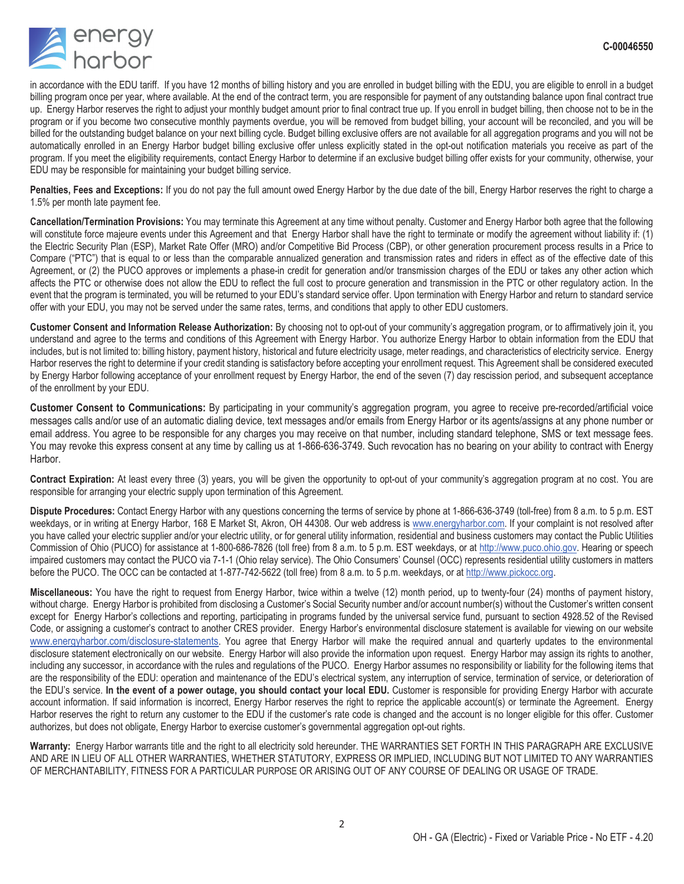

in accordance with the EDU tariff. If you have 12 months of billing history and you are enrolled in budget billing with the EDU, you are eligible to enroll in a budget billing program once per year, where available. At the end of the contract term, you are responsible for payment of any outstanding balance upon final contract true up. Energy Harbor reserves the right to adjust your monthly budget amount prior to final contract true up. If you enroll in budget billing, then choose not to be in the program or if you become two consecutive monthly payments overdue, you will be removed from budget billing, your account will be reconciled, and you will be billed for the outstanding budget balance on your next billing cycle. Budget billing exclusive offers are not available for all aggregation programs and you will not be automatically enrolled in an Energy Harbor budget billing exclusive offer unless explicitly stated in the opt-out notification materials you receive as part of the program. If you meet the eligibility requirements, contact Energy Harbor to determine if an exclusive budget billing offer exists for your community, otherwise, your EDU may be responsible for maintaining your budget billing service.

Penalties, Fees and Exceptions: If you do not pay the full amount owed Energy Harbor by the due date of the bill, Energy Harbor reserves the right to charge a 1.5% per month late payment fee.

**Cancellation/Termination Provisions:** You may terminate this Agreement at any time without penalty. Customer and Energy Harbor both agree that the following will constitute force majeure events under this Agreement and that Energy Harbor shall have the right to terminate or modify the agreement without liability if: (1) the Electric Security Plan (ESP), Market Rate Offer (MRO) and/or Competitive Bid Process (CBP), or other generation procurement process results in a Price to Compare ("PTC") that is equal to or less than the comparable annualized generation and transmission rates and riders in effect as of the effective date of this Agreement, or (2) the PUCO approves or implements a phase-in credit for generation and/or transmission charges of the EDU or takes any other action which affects the PTC or otherwise does not allow the EDU to reflect the full cost to procure generation and transmission in the PTC or other regulatory action. In the event that the program is terminated, you will be returned to your EDU's standard service offer. Upon termination with Energy Harbor and return to standard service offer with your EDU, you may not be served under the same rates, terms, and conditions that apply to other EDU customers.

**Customer Consent and Information Release Authorization:** By choosing not to opt-out of your community's aggregation program, or to affirmatively join it, you understand and agree to the terms and conditions of this Agreement with Energy Harbor. You authorize Energy Harbor to obtain information from the EDU that includes, but is not limited to: billing history, payment history, historical and future electricity usage, meter readings, and characteristics of electricity service. Energy Harbor reserves the right to determine if your credit standing is satisfactory before accepting your enrollment request. This Agreement shall be considered executed by Energy Harbor following acceptance of your enrollment request by Energy Harbor, the end of the seven (7) day rescission period, and subsequent acceptance of the enrollment by your EDU.

**Customer Consent to Communications:** By participating in your community's aggregation program, you agree to receive pre-recorded/artificial voice messages calls and/or use of an automatic dialing device, text messages and/or emails from Energy Harbor or its agents/assigns at any phone number or email address. You agree to be responsible for any charges you may receive on that number, including standard telephone, SMS or text message fees. You may revoke this express consent at any time by calling us at 1-866-636-3749. Such revocation has no bearing on your ability to contract with Energy Harbor.

**Contract Expiration:** At least every three (3) years, you will be given the opportunity to opt-out of your community's aggregation program at no cost. You are responsible for arranging your electric supply upon termination of this Agreement.

**Dispute Procedures:** Contact Energy Harbor with any questions concerning the terms of service by phone at 1-866-636-3749 (toll-free) from 8 a.m. to 5 p.m. EST weekdays, or in writing at Energy Harbor, 168 E Market St, Akron, OH 44308. Our web address is www.energyharbor.com. If your complaint is not resolved after you have called your electric supplier and/or your electric utility, or for general utility information, residential and business customers may contact the Public Utilities Commission of Ohio (PUCO) for assistance at 1-800-686-7826 (toll free) from 8 a.m. to 5 p.m. EST weekdays, or at http://www.puco.ohio.gov. Hearing or speech impaired customers may contact the PUCO via 7-1-1 (Ohio relay service). The Ohio Consumers' Counsel (OCC) represents residential utility customers in matters before the PUCO. The OCC can be contacted at 1-877-742-5622 (toll free) from 8 a.m. to 5 p.m. weekdays, or at http://www.pickocc.org.

**Miscellaneous:** You have the right to request from Energy Harbor, twice within a twelve (12) month period, up to twenty-four (24) months of payment history, without charge. Energy Harbor is prohibited from disclosing a Customer's Social Security number and/or account number(s) without the Customer's written consent except for Energy Harbor's collections and reporting, participating in programs funded by the universal service fund, pursuant to section 4928.52 of the Revised Code, or assigning a customer's contract to another CRES provider. Energy Harbor's environmental disclosure statement is available for viewing on our website www.energyharbor.com/disclosure-statements. You agree that Energy Harbor will make the required annual and quarterly updates to the environmental disclosure statement electronically on our website. Energy Harbor will also provide the information upon request. Energy Harbor may assign its rights to another, including any successor, in accordance with the rules and regulations of the PUCO. Energy Harbor assumes no responsibility or liability for the following items that are the responsibility of the EDU: operation and maintenance of the EDU's electrical system, any interruption of service, termination of service, or deterioration of the EDU's service. **In the event of a power outage, you should contact your local EDU.** Customer is responsible for providing Energy Harbor with accurate account information. If said information is incorrect, Energy Harbor reserves the right to reprice the applicable account(s) or terminate the Agreement. Energy Harbor reserves the right to return any customer to the EDU if the customer's rate code is changed and the account is no longer eligible for this offer. Customer authorizes, but does not obligate, Energy Harbor to exercise customer's governmental aggregation opt-out rights.

**Warranty:** Energy Harbor warrants title and the right to all electricity sold hereunder. THE WARRANTIES SET FORTH IN THIS PARAGRAPH ARE EXCLUSIVE AND ARE IN LIEU OF ALL OTHER WARRANTIES, WHETHER STATUTORY, EXPRESS OR IMPLIED, INCLUDING BUT NOT LIMITED TO ANY WARRANTIES OF MERCHANTABILITY, FITNESS FOR A PARTICULAR PURPOSE OR ARISING OUT OF ANY COURSE OF DEALING OR USAGE OF TRADE.